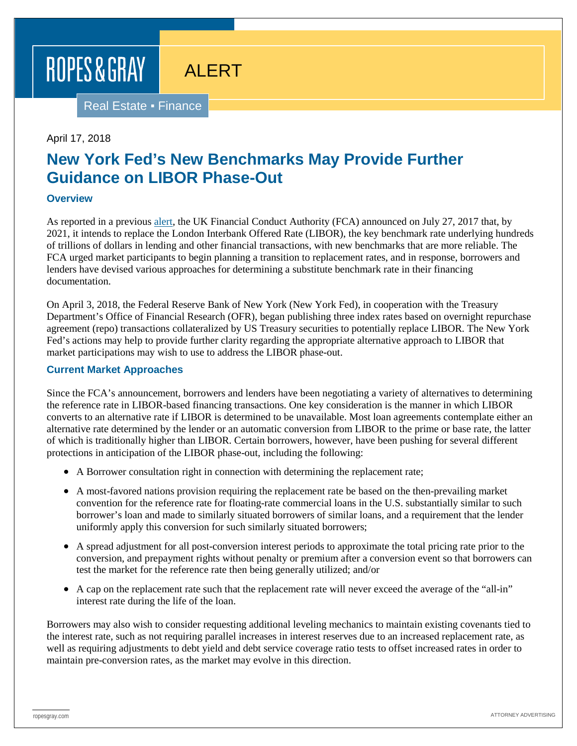# ROPES & GRAY

Real Estate ▪ Finance

### April 17, 2018

# **New York Fed's New Benchmarks May Provide Further Guidance on LIBOR Phase-Out**

ALERT

# **Overview**

As reported in a previous [alert,](https://www.ropesgray.com/en/newsroom/alerts/2017/09/Lights-Out-for-Libor-by-2021) the UK Financial Conduct Authority (FCA) announced on July 27, 2017 that, by 2021, it intends to replace the London Interbank Offered Rate (LIBOR), the key benchmark rate underlying hundreds of trillions of dollars in lending and other financial transactions, with new benchmarks that are more reliable. The FCA urged market participants to begin planning a transition to replacement rates, and in response, borrowers and lenders have devised various approaches for determining a substitute benchmark rate in their financing documentation.

On April 3, 2018, the Federal Reserve Bank of New York (New York Fed), in cooperation with the Treasury Department's Office of Financial Research (OFR), began publishing three index rates based on overnight repurchase agreement (repo) transactions collateralized by US Treasury securities to potentially replace LIBOR. The New York Fed's actions may help to provide further clarity regarding the appropriate alternative approach to LIBOR that market participations may wish to use to address the LIBOR phase-out.

## **Current Market Approaches**

Since the FCA's announcement, borrowers and lenders have been negotiating a variety of alternatives to determining the reference rate in LIBOR-based financing transactions. One key consideration is the manner in which LIBOR converts to an alternative rate if LIBOR is determined to be unavailable. Most loan agreements contemplate either an alternative rate determined by the lender or an automatic conversion from LIBOR to the prime or base rate, the latter of which is traditionally higher than LIBOR. Certain borrowers, however, have been pushing for several different protections in anticipation of the LIBOR phase-out, including the following:

- A Borrower consultation right in connection with determining the replacement rate;
- A most-favored nations provision requiring the replacement rate be based on the then-prevailing market convention for the reference rate for floating-rate commercial loans in the U.S. substantially similar to such borrower's loan and made to similarly situated borrowers of similar loans, and a requirement that the lender uniformly apply this conversion for such similarly situated borrowers;
- A spread adjustment for all post-conversion interest periods to approximate the total pricing rate prior to the conversion, and prepayment rights without penalty or premium after a conversion event so that borrowers can test the market for the reference rate then being generally utilized; and/or
- A cap on the replacement rate such that the replacement rate will never exceed the average of the "all-in" interest rate during the life of the loan.

Borrowers may also wish to consider requesting additional leveling mechanics to maintain existing covenants tied to the interest rate, such as not requiring parallel increases in interest reserves due to an increased replacement rate, as well as requiring adjustments to debt yield and debt service coverage ratio tests to offset increased rates in order to maintain pre-conversion rates, as the market may evolve in this direction.